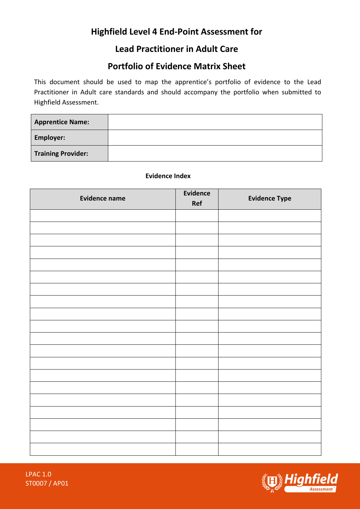# **Highfield Level 4 End-Point Assessment for**

## **Lead Practitioner in Adult Care**

## **Portfolio of Evidence Matrix Sheet**

This document should be used to map the apprentice's portfolio of evidence to the Lead Practitioner in Adult care standards and should accompany the portfolio when submitted to Highfield Assessment.

| <b>Apprentice Name:</b>   |  |
|---------------------------|--|
| <b>Employer:</b>          |  |
| <b>Training Provider:</b> |  |

### **Evidence Index**

| <b>Evidence name</b> | <b>Evidence</b><br>Ref | <b>Evidence Type</b> |
|----------------------|------------------------|----------------------|
|                      |                        |                      |
|                      |                        |                      |
|                      |                        |                      |
|                      |                        |                      |
|                      |                        |                      |
|                      |                        |                      |
|                      |                        |                      |
|                      |                        |                      |
|                      |                        |                      |
|                      |                        |                      |
|                      |                        |                      |
|                      |                        |                      |
|                      |                        |                      |
|                      |                        |                      |
|                      |                        |                      |
|                      |                        |                      |
|                      |                        |                      |
|                      |                        |                      |
|                      |                        |                      |
|                      |                        |                      |

LPAC 1.0 ST0007 / AP01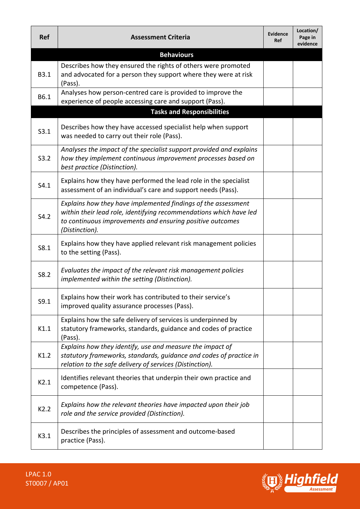| <b>Ref</b>  | <b>Assessment Criteria</b>                                                                                                                                                                                         | <b>Evidence</b><br><b>Ref</b> | Location/<br>Page in<br>evidence |
|-------------|--------------------------------------------------------------------------------------------------------------------------------------------------------------------------------------------------------------------|-------------------------------|----------------------------------|
|             | <b>Behaviours</b>                                                                                                                                                                                                  |                               |                                  |
| <b>B3.1</b> | Describes how they ensured the rights of others were promoted<br>and advocated for a person they support where they were at risk<br>(Pass).                                                                        |                               |                                  |
| B6.1        | Analyses how person-centred care is provided to improve the<br>experience of people accessing care and support (Pass).<br><b>Tasks and Responsibilities</b>                                                        |                               |                                  |
| S3.1        | Describes how they have accessed specialist help when support<br>was needed to carry out their role (Pass).                                                                                                        |                               |                                  |
| S3.2        | Analyses the impact of the specialist support provided and explains<br>how they implement continuous improvement processes based on<br>best practice (Distinction).                                                |                               |                                  |
| S4.1        | Explains how they have performed the lead role in the specialist<br>assessment of an individual's care and support needs (Pass).                                                                                   |                               |                                  |
| S4.2        | Explains how they have implemented findings of the assessment<br>within their lead role, identifying recommendations which have led<br>to continuous improvements and ensuring positive outcomes<br>(Distinction). |                               |                                  |
| S8.1        | Explains how they have applied relevant risk management policies<br>to the setting (Pass).                                                                                                                         |                               |                                  |
| S8.2        | Evaluates the impact of the relevant risk management policies<br>implemented within the setting (Distinction).                                                                                                     |                               |                                  |
| S9.1        | Explains how their work has contributed to their service's<br>improved quality assurance processes (Pass).                                                                                                         |                               |                                  |
| K1.1        | Explains how the safe delivery of services is underpinned by<br>statutory frameworks, standards, guidance and codes of practice<br>(Pass).                                                                         |                               |                                  |
| K1.2        | Explains how they identify, use and measure the impact of<br>statutory frameworks, standards, guidance and codes of practice in<br>relation to the safe delivery of services (Distinction).                        |                               |                                  |
| K2.1        | Identifies relevant theories that underpin their own practice and<br>competence (Pass).                                                                                                                            |                               |                                  |
| K2.2        | Explains how the relevant theories have impacted upon their job<br>role and the service provided (Distinction).                                                                                                    |                               |                                  |
| K3.1        | Describes the principles of assessment and outcome-based<br>practice (Pass).                                                                                                                                       |                               |                                  |

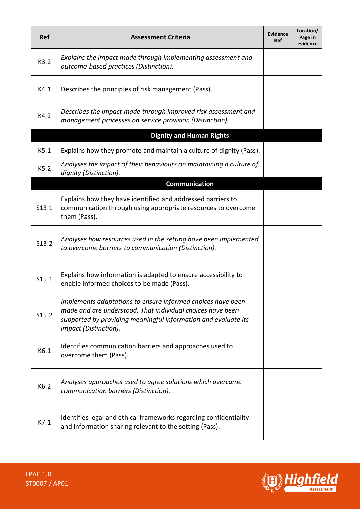| <b>Ref</b> | <b>Assessment Criteria</b>                                                                                                                                                                                           | <b>Evidence</b><br><b>Ref</b> | Location/<br>Page in<br>evidence |
|------------|----------------------------------------------------------------------------------------------------------------------------------------------------------------------------------------------------------------------|-------------------------------|----------------------------------|
| K3.2       | Explains the impact made through implementing assessment and<br>outcome-based practices (Distinction).                                                                                                               |                               |                                  |
| K4.1       | Describes the principles of risk management (Pass).                                                                                                                                                                  |                               |                                  |
| K4.2       | Describes the impact made through improved risk assessment and<br>management processes on service provision (Distinction).                                                                                           |                               |                                  |
|            | <b>Dignity and Human Rights</b>                                                                                                                                                                                      |                               |                                  |
| K5.1       | Explains how they promote and maintain a culture of dignity (Pass).                                                                                                                                                  |                               |                                  |
| K5.2       | Analyses the impact of their behaviours on maintaining a culture of<br>dignity (Distinction).                                                                                                                        |                               |                                  |
|            | <b>Communication</b>                                                                                                                                                                                                 |                               |                                  |
| S13.1      | Explains how they have identified and addressed barriers to<br>communication through using appropriate resources to overcome<br>them (Pass).                                                                         |                               |                                  |
| S13.2      | Analyses how resources used in the setting have been implemented<br>to overcome barriers to communication (Distinction).                                                                                             |                               |                                  |
| S15.1      | Explains how information is adapted to ensure accessibility to<br>enable informed choices to be made (Pass).                                                                                                         |                               |                                  |
| S15.2      | Implements adaptations to ensure informed choices have been<br>made and are understood. That individual choices have been<br>supported by providing meaningful information and evaluate its<br>impact (Distinction). |                               |                                  |
| K6.1       | Identifies communication barriers and approaches used to<br>overcome them (Pass).                                                                                                                                    |                               |                                  |
| K6.2       | Analyses approaches used to agree solutions which overcame<br>communication barriers (Distinction).                                                                                                                  |                               |                                  |
| K7.1       | Identifies legal and ethical frameworks regarding confidentiality<br>and information sharing relevant to the setting (Pass).                                                                                         |                               |                                  |



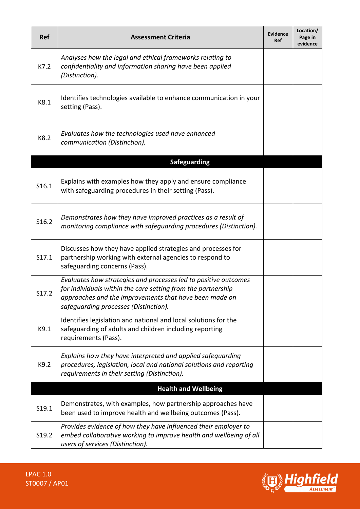| <b>Ref</b> | <b>Assessment Criteria</b>                                                                                                                                                                                                         | <b>Evidence</b><br>Ref | Location/<br>Page in<br>evidence |
|------------|------------------------------------------------------------------------------------------------------------------------------------------------------------------------------------------------------------------------------------|------------------------|----------------------------------|
| K7.2       | Analyses how the legal and ethical frameworks relating to<br>confidentiality and information sharing have been applied<br>(Distinction).                                                                                           |                        |                                  |
| K8.1       | Identifies technologies available to enhance communication in your<br>setting (Pass).                                                                                                                                              |                        |                                  |
| K8.2       | Evaluates how the technologies used have enhanced<br>communication (Distinction).                                                                                                                                                  |                        |                                  |
|            | <b>Safeguarding</b>                                                                                                                                                                                                                |                        |                                  |
| S16.1      | Explains with examples how they apply and ensure compliance<br>with safeguarding procedures in their setting (Pass).                                                                                                               |                        |                                  |
| S16.2      | Demonstrates how they have improved practices as a result of<br>monitoring compliance with safequarding procedures (Distinction).                                                                                                  |                        |                                  |
| S17.1      | Discusses how they have applied strategies and processes for<br>partnership working with external agencies to respond to<br>safeguarding concerns (Pass).                                                                          |                        |                                  |
| S17.2      | Evaluates how strategies and processes led to positive outcomes<br>for individuals within the care setting from the partnership<br>approaches and the improvements that have been made on<br>safeguarding processes (Distinction). |                        |                                  |
| K9.1       | Identifies legislation and national and local solutions for the<br>safeguarding of adults and children including reporting<br>requirements (Pass).                                                                                 |                        |                                  |
| K9.2       | Explains how they have interpreted and applied safeguarding<br>procedures, legislation, local and national solutions and reporting<br>requirements in their setting (Distinction).                                                 |                        |                                  |
|            | <b>Health and Wellbeing</b>                                                                                                                                                                                                        |                        |                                  |
| S19.1      | Demonstrates, with examples, how partnership approaches have<br>been used to improve health and wellbeing outcomes (Pass).                                                                                                         |                        |                                  |
| S19.2      | Provides evidence of how they have influenced their employer to<br>embed collaborative working to improve health and wellbeing of all<br>users of services (Distinction).                                                          |                        |                                  |

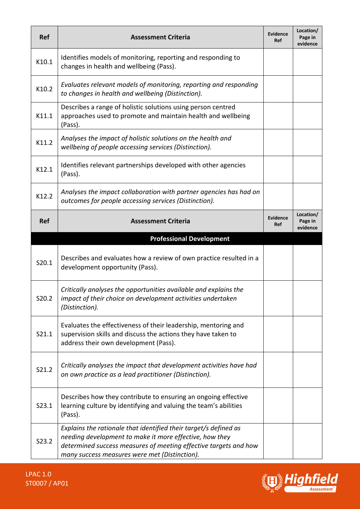| <b>Ref</b> | <b>Assessment Criteria</b>                                                                                                                                                                                                                       | <b>Evidence</b><br><b>Ref</b> | Location/<br>Page in<br>evidence |
|------------|--------------------------------------------------------------------------------------------------------------------------------------------------------------------------------------------------------------------------------------------------|-------------------------------|----------------------------------|
| K10.1      | Identifies models of monitoring, reporting and responding to<br>changes in health and wellbeing (Pass).                                                                                                                                          |                               |                                  |
| K10.2      | Evaluates relevant models of monitoring, reporting and responding<br>to changes in health and wellbeing (Distinction).                                                                                                                           |                               |                                  |
| K11.1      | Describes a range of holistic solutions using person centred<br>approaches used to promote and maintain health and wellbeing<br>(Pass).                                                                                                          |                               |                                  |
| K11.2      | Analyses the impact of holistic solutions on the health and<br>wellbeing of people accessing services (Distinction).                                                                                                                             |                               |                                  |
| K12.1      | Identifies relevant partnerships developed with other agencies<br>(Pass).                                                                                                                                                                        |                               |                                  |
| K12.2      | Analyses the impact collaboration with partner agencies has had on<br>outcomes for people accessing services (Distinction).                                                                                                                      |                               |                                  |
| <b>Ref</b> | <b>Assessment Criteria</b>                                                                                                                                                                                                                       | <b>Evidence</b><br><b>Ref</b> | Location/<br>Page in<br>evidence |
|            | <b>Professional Development</b>                                                                                                                                                                                                                  |                               |                                  |
| S20.1      | Describes and evaluates how a review of own practice resulted in a<br>development opportunity (Pass).                                                                                                                                            |                               |                                  |
| S20.2      | Critically analyses the opportunities available and explains the<br>impact of their choice on development activities undertaken<br>(Distinction).                                                                                                |                               |                                  |
| S21.1      | Evaluates the effectiveness of their leadership, mentoring and<br>supervision skills and discuss the actions they have taken to<br>address their own development (Pass).                                                                         |                               |                                  |
| S21.2      | Critically analyses the impact that development activities have had<br>on own practice as a lead practitioner (Distinction).                                                                                                                     |                               |                                  |
| S23.1      | Describes how they contribute to ensuring an ongoing effective<br>learning culture by identifying and valuing the team's abilities<br>(Pass).                                                                                                    |                               |                                  |
| S23.2      | Explains the rationale that identified their target/s defined as<br>needing development to make it more effective, how they<br>determined success measures of meeting effective targets and how<br>many success measures were met (Distinction). |                               |                                  |

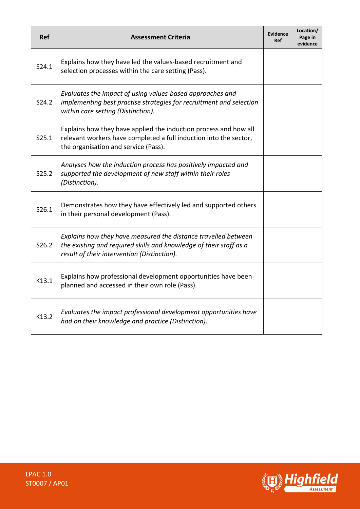| Ref   | <b>Assessment Criteria</b>                                                                                                                                                          | <b>Evidence</b><br>Ref | Location/<br>Page in<br>evidence |
|-------|-------------------------------------------------------------------------------------------------------------------------------------------------------------------------------------|------------------------|----------------------------------|
| S24.1 | Explains how they have led the values-based recruitment and<br>selection processes within the care setting (Pass).                                                                  |                        |                                  |
| S24.2 | Evaluates the impact of using values-based approaches and<br>implementing best practise strategies for recruitment and selection<br>within care setting (Distinction).              |                        |                                  |
| S25.1 | Explains how they have applied the induction process and how all<br>relevant workers have completed a full induction into the sector,<br>the organisation and service (Pass).       |                        |                                  |
| S25.2 | Analyses how the induction process has positively impacted and<br>supported the development of new staff within their roles<br>(Distinction).                                       |                        |                                  |
| S26.1 | Demonstrates how they have effectively led and supported others<br>in their personal development (Pass).                                                                            |                        |                                  |
| S26.2 | Explains how they have measured the distance travelled between<br>the existing and required skills and knowledge of their staff as a<br>result of their intervention (Distinction). |                        |                                  |
| K13.1 | Explains how professional development opportunities have been<br>planned and accessed in their own role (Pass).                                                                     |                        |                                  |
| K13.2 | Evaluates the impact professional development opportunities have<br>had on their knowledge and practice (Distinction).                                                              |                        |                                  |